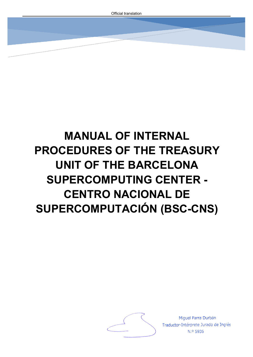# **MANUAL OF INTERNAL PROCEDURES OF THE TREASURY UNIT OF THE BARCELONA SUPERCOMPUTING CENTER - CENTRO NACIONAL DE SUPERCOMPUTACIÓN (BSC-CNS)**



Miguel Parra Durbán Traductor-Intérprete Jurado de Inglés N.º 5936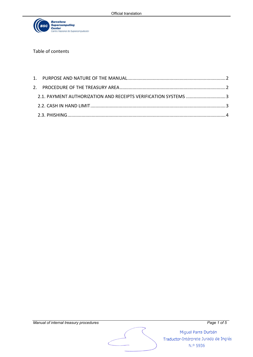

Table of contents

| 2.1. PAYMENT AUTHORIZATION AND RECEIPTS VERIFICATION SYSTEMS 3 |  |
|----------------------------------------------------------------|--|
|                                                                |  |
|                                                                |  |



Miguel Parra Durbán Traductor-Intérprete Jurado de Inglés

N.º 5936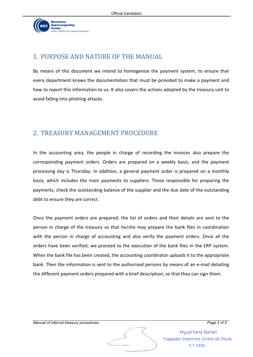

# <span id="page-2-0"></span>1. PURPOSE AND NATURE OF THE MANUAL

By means of this document we intend to homogenize the payment system, to ensure that every department knows the documentation that must be provided to make a payment and how to report this information to us. It also covers the actions adopted by the treasury unit to avoid falling into phishing attacks.

# 2. TREASURY MANAGEMENT PROCEDURE

In the accounting area, the people in charge of recording the invoices also prepare the corresponding payment orders. Orders are prepared on a weekly basis, and the payment processing day is Thursday. In addition, a general payment order is prepared on a monthly basis, which includes the main payments to suppliers. Those responsible for preparing the payments, check the outstanding balance of the supplier and the due date of the outstanding debt to ensure they are correct.

Once the payment orders are prepared, the list of orders and their details are sent to the person in charge of the treasury so that he/she may prepare the bank files in coordination with the person in charge of accounting and also verify the payment orders. Once all the orders have been verified, we proceed to the execution of the bank files in the ERP system. When the bank file has been created, the accounting coordinator uploads it to the appropriate bank. Then the information is sent to the authorised persons by means of an e-mail detailing the different payment orders prepared with a brief description, so that they can sign them.

Miquel Parra Durbán Traductor-Intérprete Jurado de Inglés N.º 5936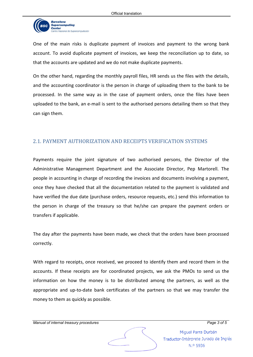

One of the main risks is duplicate payment of invoices and payment to the wrong bank account. To avoid duplicate payment of invoices, we keep the reconciliation up to date, so that the accounts are updated and we do not make duplicate payments.

On the other hand, regarding the monthly payroll files, HR sends us the files with the details, and the accounting coordinator is the person in charge of uploading them to the bank to be processed. In the same way as in the case of payment orders, once the files have been uploaded to the bank, an e-mail is sent to the authorised persons detailing them so that they can sign them.

### <span id="page-3-0"></span>2.1. PAYMENT AUTHORIZATION AND RECEIPTS VERIFICATION SYSTEMS

Payments require the joint signature of two authorised persons, the Director of the Administrative Management Department and the Associate Director, Pep Martorell. The people in accounting in charge of recording the invoices and documents involving a payment, once they have checked that all the documentation related to the payment is validated and have verified the due date (purchase orders, resource requests, etc.) send this information to the person in charge of the treasury so that he/she can prepare the payment orders or transfers if applicable.

The day after the payments have been made, we check that the orders have been processed correctly.

With regard to receipts, once received, we proceed to identify them and record them in the accounts. If these receipts are for coordinated projects, we ask the PMOs to send us the information on how the money is to be distributed among the partners, as well as the appropriate and up-to-date bank certificates of the partners so that we may transfer the money to them as quickly as possible.

Miquel Parra Durbán Traductor-Intérprete Jurado de Inglés N.º 5936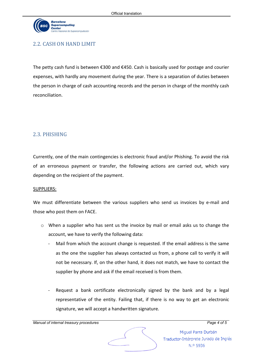

# <span id="page-4-0"></span>2.2. CASH ON HAND LIMIT

The petty cash fund is between €300 and €450. Cash is basically used for postage and courier expenses, with hardly any movement during the year. There is a separation of duties between the person in charge of cash accounting records and the person in charge of the monthly cash reconciliation.

# <span id="page-4-1"></span>2.3. PHISHING

Currently, one of the main contingencies is electronic fraud and/or Phishing. To avoid the risk of an erroneous payment or transfer, the following actions are carried out, which vary depending on the recipient of the payment.

### SUPPLIERS:

We must differentiate between the various suppliers who send us invoices by e-mail and those who post them on FACE.

- o When a supplier who has sent us the invoice by mail or email asks us to change the account, we have to verify the following data:
	- Mail from which the account change is requested. If the email address is the same as the one the supplier has always contacted us from, a phone call to verify it will not be necessary. If, on the other hand, it does not match, we have to contact the supplier by phone and ask if the email received is from them.
	- Request a bank certificate electronically signed by the bank and by a legal representative of the entity. Failing that, if there is no way to get an electronic signature, we will accept a handwritten signature.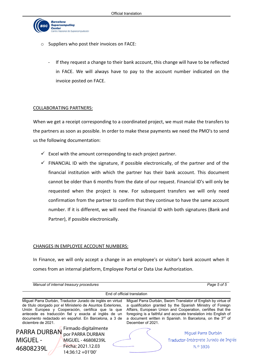

- o Suppliers who post their invoices on FACE:
	- If they request a change to their bank account, this change will have to be reflected in FACE. We will always have to pay to the account number indicated on the invoice posted on FACE.

### COLLABORATING PARTNERS:

When we get a receipt corresponding to a coordinated project, we must make the transfers to the partners as soon as possible. In order to make these payments we need the PMO's to send us the following documentation:

- $\checkmark$  Excel with the amount corresponding to each project partner.
- $\checkmark$  FINANCIAL ID with the signature, if possible electronically, of the partner and of the financial institution with which the partner has their bank account. This document cannot be older than 6 months from the date of our request. Financial ID's will only be requested when the project is new. For subsequent transfers we will only need confirmation from the partner to confirm that they continue to have the same account number. If it is different, we will need the Financial ID with both signatures (Bank and Partner), if possible electronically.

#### CHANGES IN EMPLOYEE ACCOUNT NUMBERS:

In Finance, we will only accept a change in an employee's or visitor's bank account when it comes from an internal platform, Employee Portal or Data Use Authorization.

*Manual of internal treasury procedures Page 5 of 5*

| End of official translation                                                                                                                                                                                                                                                                                         |                                                                                                                      |  |                                                                                                                                                                                                                                                                                                                                                   |  |                                                                          |  |  |  |
|---------------------------------------------------------------------------------------------------------------------------------------------------------------------------------------------------------------------------------------------------------------------------------------------------------------------|----------------------------------------------------------------------------------------------------------------------|--|---------------------------------------------------------------------------------------------------------------------------------------------------------------------------------------------------------------------------------------------------------------------------------------------------------------------------------------------------|--|--------------------------------------------------------------------------|--|--|--|
| Miguel Parra Durbán, Traductor Jurado de inglés en virtud<br>de título otorgado por el Ministerio de Asuntos Exteriores,<br>Unión Europea y Cooperación, certifica que la que<br>antecede es traducción fiel y exacta al inglés de un<br>documento redactado en español. En Barcelona, a 3 de<br>diciembre de 2021. |                                                                                                                      |  | Miquel Parra Durbán, Sworn Translator of English by virtue of<br>a qualification granted by the Spanish Ministry of Foreign<br>Affairs, European Union and Cooperation, certifies that the<br>foregoing is a faithful and accurate translation into English of<br>a document written in Spanish. In Barcelona, on the 3rd of<br>December of 2021. |  |                                                                          |  |  |  |
| <b>MIGUEL -</b><br>46808239L                                                                                                                                                                                                                                                                                        | PARRA DURBAN Firmado digitalmente<br>por PARRA DURBAN<br>MIGUEL - 46808239L<br>Fecha: 2021.12.03<br>14:36:12 +01'00' |  |                                                                                                                                                                                                                                                                                                                                                   |  | Miguel Parra Durbán<br>Traductor-Intérprete Jurado de Inglés<br>N.º 5936 |  |  |  |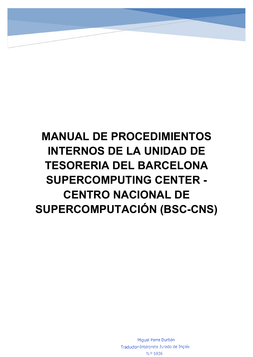# **MANUAL DE PROCEDIMIENTOS INTERNOS DE LA UNIDAD DE TESORERIA DEL BARCELONA SUPERCOMPUTING CENTER - CENTRO NACIONAL DE SUPERCOMPUTACIÓN (BSC-CNS)**

Miguel Parra Durbán Traductor-Intérprete Jurado de Inglés N.º 5936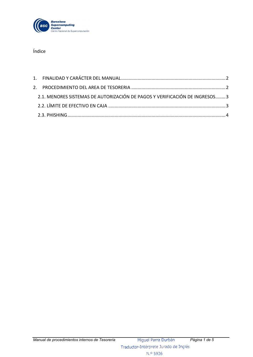

Índice

| 2.1. MENORES SISTEMAS DE AUTORIZACIÓN DE PAGOS Y VERIFICACIÓN DE INGRESOS3 |  |
|----------------------------------------------------------------------------|--|
|                                                                            |  |
|                                                                            |  |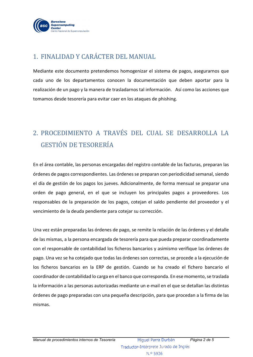

# <span id="page-8-0"></span>1. FINALIDAD Y CARÁCTER DEL MANUAL

Mediante este documento pretendemos homogenizar el sistema de pagos, asegurarnos que cada uno de los departamentos conocen la documentación que deben aportar para la realización de un pago y la manera de trasladarnos tal información. Así como las acciones que tomamos desde tesorería para evitar caer en los ataques de phishing.

# 2. PROCEDIMIENTO A TRAVÉS DEL CUAL SE DESARROLLA LA GESTIÓN DE TESORERÍA

En el área contable, las personas encargadas del registro contable de las facturas, preparan las órdenes de pagos correspondientes. Las órdenes se preparan con periodicidad semanal, siendo el día de gestión de los pagos los jueves. Adicionalmente, de forma mensual se preparar una orden de pago general, en el que se incluyen los principales pagos a proveedores. Los responsables de la preparación de los pagos, cotejan el saldo pendiente del proveedor y el vencimiento de la deuda pendiente para cotejar su corrección.

Una vez están preparadas las órdenes de pago, se remite la relación de las órdenes y el detalle de las mismas, a la persona encargada de tesorería para que pueda preparar coordinadamente con el responsable de contabilidad los ficheros bancarios y asimismo verifique las órdenes de pago. Una vez se ha cotejado que todas las órdenes son correctas, se procede a la ejecución de los ficheros bancarios en la ERP de gestión. Cuando se ha creado el fichero bancario el coordinador de contabilidad lo carga en el banco que corresponda. En ese momento, se traslada la información a las personas autorizadas mediante un e-mail en el que se detallan las distintas órdenes de pago preparadas con una pequeña descripción, para que procedan a la firma de las mismas.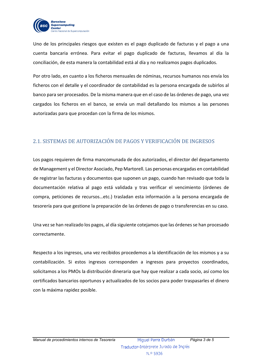

Uno de los principales riesgos que existen es el pago duplicado de facturas y el pago a una cuenta bancaria errónea. Para evitar el pago duplicado de facturas, llevamos al día la conciliación, de esta manera la contabilidad está al día y no realizamos pagos duplicados.

Por otro lado, en cuanto a los ficheros mensuales de nóminas, recursos humanos nos envía los ficheros con el detalle y el coordinador de contabilidad es la persona encargada de subirlos al banco para ser procesados. De la misma manera que en el caso de las órdenes de pago, una vez cargados los ficheros en el banco, se envía un mail detallando los mismos a las persones autorizadas para que procedan con la firma de los mismos.

## <span id="page-9-0"></span>2.1. SISTEMAS DE AUTORIZACIÓN DE PAGOS Y VERIFICACIÓN DE INGRESOS

Los pagos requieren de firma mancomunada de dos autorizados, el director del departamento de Management y el Director Asociado, Pep Martorell. Las personas encargadas en contabilidad de registrar las facturas y documentos que suponen un pago, cuando han revisado que toda la documentación relativa al pago está validada y tras verificar el vencimiento (órdenes de compra, peticiones de recursos…etc.) trasladan esta información a la persona encargada de tesorería para que gestione la preparación de las órdenes de pago o transferencias en su caso.

Una vez se han realizado los pagos, al día siguiente cotejamos que las órdenes se han procesado correctamente.

Respecto a los ingresos, una vez recibidos procedemos a la identificación de los mismos y a su contabilización. Si estos ingresos corresponden a ingresos para proyectos coordinados, solicitamos a los PMOs la distribución dineraria que hay que realizar a cada socio, así como los certificados bancarios oportunos y actualizados de los socios para poder traspasarles el dinero con la máxima rapidez posible.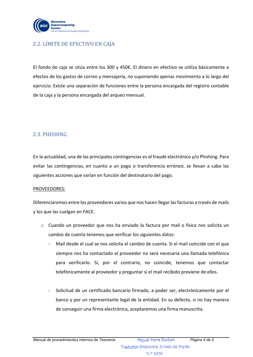

### <span id="page-10-0"></span>2.2. LÍMITE DE EFECTIVO EN CAJA

El fondo de caja se sitúa entre los 300 y 450€. El dinero en efectivo se utiliza básicamente a efectos de los gastos de correo y mensajería, no suponiendo apenas movimiento a lo largo del ejercicio. Existe una separación de funciones entre la persona encargada del registro contable de la caja y la persona encargada del arqueo mensual.

### <span id="page-10-1"></span>2.3. PHISHING

En la actualidad, una de las principales contingencias es el fraude electrónico y/o Phishing. Para evitar las contingencias, en cuanto a un pago o transferencia erróneo, se llevan a cabo las siguientes acciones que varían en función del destinatario del pago.

### PROVEEDORES:

Diferenciaremos entre los proveedores varios que nos hacen llegar las facturas a través de mails y los que las cuelgan en FACE.

- o Cuando un proveedor que nos ha enviado la factura por mail o física nos solicita un cambio de cuenta tenemos que verificar los siguientes datos:
	- Mail desde el cual se nos solicita el cambio de cuenta. Si el mail coincide con el que siempre nos ha contactado el proveedor no será necesaria una llamada telefónica para verificarlo. Si, por el contrario, no coincide, tenemos que contactar telefónicamente al proveedor y preguntar si el mail recibido proviene de ellos.
	- Solicitud de un certificado bancario firmado, a poder ser, electrónicamente por el banco y por un representante legal de la entidad. En su defecto, si no hay manera de conseguir una firma electrónica, aceptaremos una firma manuscrita.